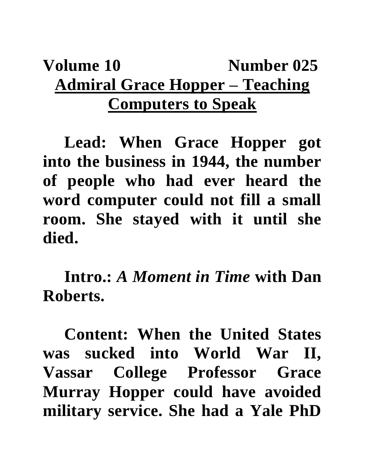## **Volume 10** Number 025 **Admiral Grace Hopper – Teaching Computers to Speak**

**Lead: When Grace Hopper got into the business in 1944, the number of people who had ever heard the word computer could not fill a small room. She stayed with it until she died.**

**Intro.:** *A Moment in Time* **with Dan Roberts.**

**Content: When the United States was sucked into World War II, Vassar College Professor Grace Murray Hopper could have avoided military service. She had a Yale PhD**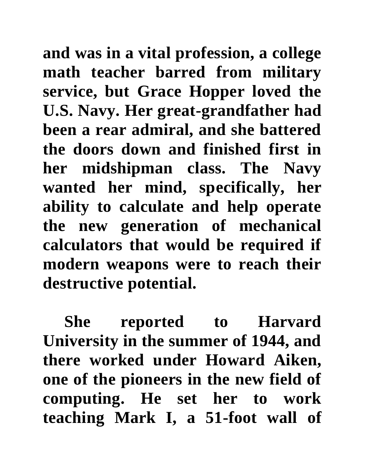**and was in a vital profession, a college math teacher barred from military service, but Grace Hopper loved the U.S. Navy. Her great-grandfather had been a rear admiral, and she battered the doors down and finished first in her midshipman class. The Navy wanted her mind, specifically, her ability to calculate and help operate the new generation of mechanical calculators that would be required if modern weapons were to reach their destructive potential.**

**She reported to Harvard University in the summer of 1944, and there worked under Howard Aiken, one of the pioneers in the new field of computing. He set her to work teaching Mark I, a 51-foot wall of**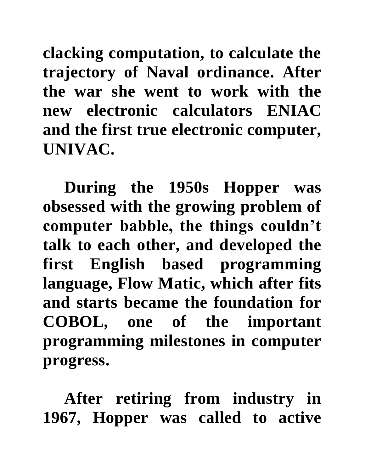**clacking computation, to calculate the trajectory of Naval ordinance. After the war she went to work with the new electronic calculators ENIAC and the first true electronic computer, UNIVAC.** 

**During the 1950s Hopper was obsessed with the growing problem of computer babble, the things couldn't talk to each other, and developed the first English based programming language, Flow Matic, which after fits and starts became the foundation for COBOL, one of the important programming milestones in computer progress.** 

**After retiring from industry in 1967, Hopper was called to active**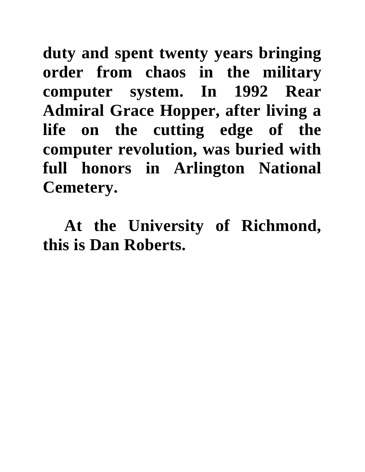**duty and spent twenty years bringing order from chaos in the military computer system. In 1992 Rear Admiral Grace Hopper, after living a life on the cutting edge of the computer revolution, was buried with full honors in Arlington National Cemetery.** 

**At the University of Richmond, this is Dan Roberts.**